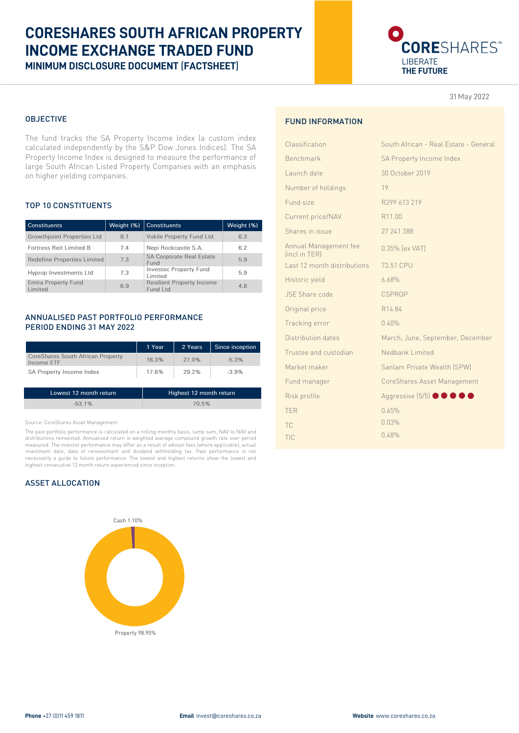## **CORESHARES SOUTH AFRICAN PROPERTY INCOME EXCHANGE TRADED FUND MINIMUM DISCLOSURE DOCUMENT** (**FACTSHEET**)

# CORESHARES<sup>®</sup> LIBERATE **THE FUTURE**

31 May 2022

#### OBJECTIVE

The fund tracks the SA Property Income Index (a custom index calculated independently by the S&P Dow Jones Indices). The SA Property Income Index is designed to measure the performance of large South African Listed Property Companies with an emphasis on higher yielding companies.

#### TOP 10 CONSTITUENTS

| <b>Constituents</b>                   | Weight (%) | <b>Constituents</b>                          | Weight (%) |
|---------------------------------------|------------|----------------------------------------------|------------|
| <b>Growthpoint Properties Ltd</b>     | 8.1        | <b>Vukile Property Fund Ltd</b>              | 6.3        |
| Fortress Reit Limited B               | 7.4        | Nepi Rockcastle S.A.                         | 6.2        |
| <b>Redefine Properties Limited</b>    | 7.3        | <b>SA Corporate Real Estate</b><br>Fund      | 5.9        |
| Hyprop Investments Ltd                | 7.3        | <b>Investec Property Fund</b><br>Limited     | 5.9        |
| <b>Emira Property Fund</b><br>Limited | 6.9        | <b>Resilient Property Income</b><br>Fund Ltd | 4.8        |

#### ANNUALISED PAST PORTFOLIO PERFORMANCE PERIOD ENDING 31 MAY 2022

|                                                        | 1 Year | 2 Years | Since inception |
|--------------------------------------------------------|--------|---------|-----------------|
| <b>CoreShares South African Property</b><br>Income ETF | 16.3%  | 27.0%   | $-5.3%$         |
| SA Property Income Index                               | 17.6%  | 29.2%   | $-3.9%$         |
|                                                        |        |         |                 |

| Lowest 12 month return | Highest 12 month return |
|------------------------|-------------------------|
| $-53.1\%$              | 70.5%                   |

#### Source: CoreShares Asset Management

The past portfolio performance is calculated on a rolling monthly basis, lump sum, NAV to NAV and distributions reinvested. Annualised return is weighted average compound growth rate over period measured. The investor performance may differ as a result of advisor fees (where applicable), actual investment date, date of reinvestment and dividend withholding tax. Past performance is not necessarily a guide to future performance. The lowest and highest returns show the lowest and highest consecutive 12 month return experienced since inception.

#### ASSET ALLOCATION



### FUND INFORMATION

| Classification                         | South African - Real Estate - General |
|----------------------------------------|---------------------------------------|
| Benchmark                              | SA Property Income Index              |
| Launch date                            | 30 October 2019                       |
| Number of holdings                     | 19                                    |
| Fund size                              | R299 613 219                          |
| Current price/NAV                      | R11.00                                |
| Shares in issue                        | 27 241 388                            |
| Annual Management fee<br>finct in TERI | 0.35% [ex VAT]                        |
| Last 12 month distributions            | 73.51 CPU                             |
| Historic yield                         | 6.68%                                 |
| <b>JSE Share code</b>                  | <b>CSPROP</b>                         |
| Original price                         | R14.84                                |
| Tracking error                         | 0.40%                                 |
| Distribution dates                     | March, June, September, December      |
| Trustee and custodian                  | Nedbank Limited                       |
| Market maker                           | Sanlam Private Wealth (SPW)           |
| Fund manager                           | CoreShares Asset Management           |
| Risk profile                           | Aggressive (5/5) <b>OOOO</b>          |
| <b>TFR</b>                             | 0.45%                                 |
| <b>TC</b>                              | 0.03%                                 |
| TIC                                    | 0.48%                                 |